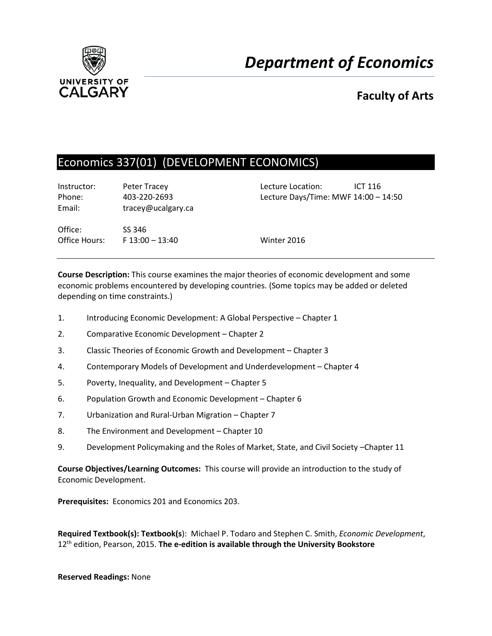

# **Faculty of Arts**

# Economics 337(01) (DEVELOPMENT ECONOMICS)

Instructor: Peter Tracey Lecture Location: ICT 116 Email: tracey@ucalgary.ca

Phone: 403-220-2693 Lecture Days/Time: MWF 14:00 – 14:50

Office: SS 346 Office Hours: F 13:00 – 13:40 Winter 2016

**Course Description:** This course examines the major theories of economic development and some economic problems encountered by developing countries. (Some topics may be added or deleted depending on time constraints.)

- 1. Introducing Economic Development: A Global Perspective Chapter 1
- 2. Comparative Economic Development Chapter 2
- 3. Classic Theories of Economic Growth and Development Chapter 3
- 4. Contemporary Models of Development and Underdevelopment Chapter 4
- 5. Poverty, Inequality, and Development Chapter 5
- 6. Population Growth and Economic Development Chapter 6
- 7. Urbanization and Rural-Urban Migration Chapter 7
- 8. The Environment and Development Chapter 10
- 9. Development Policymaking and the Roles of Market, State, and Civil Society –Chapter 11

**Course Objectives/Learning Outcomes:** This course will provide an introduction to the study of Economic Development.

**Prerequisites:** Economics 201 and Economics 203.

**Required Textbook(s): Textbook(s**): Michael P. Todaro and Stephen C. Smith, *Economic Development*, 12th edition, Pearson, 2015. **The e-edition is available through the University Bookstore**

**Reserved Readings:** None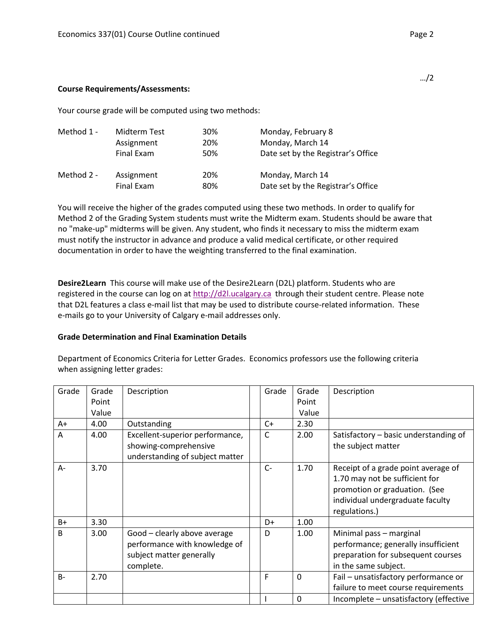#### **Course Requirements/Assessments:**

Your course grade will be computed using two methods:

| Method 1 - | Midterm Test | 30% | Monday, February 8                 |
|------------|--------------|-----|------------------------------------|
|            | Assignment   | 20% | Monday, March 14                   |
|            | Final Exam   | 50% | Date set by the Registrar's Office |
| Method 2 - | Assignment   | 20% | Monday, March 14                   |
|            | Final Exam   | 80% | Date set by the Registrar's Office |

You will receive the higher of the grades computed using these two methods. In order to qualify for Method 2 of the Grading System students must write the Midterm exam. Students should be aware that no "make-up" midterms will be given. Any student, who finds it necessary to miss the midterm exam must notify the instructor in advance and produce a valid medical certificate, or other required documentation in order to have the weighting transferred to the final examination.

**Desire2Learn** This course will make use of the Desire2Learn (D2L) platform. Students who are registered in the course can log on at [http://d2l.ucalgary.ca](http://d2l.ucalgary.ca/) through their student centre. Please note that D2L features a class e-mail list that may be used to distribute course-related information. These e-mails go to your University of Calgary e-mail addresses only.

#### **Grade Determination and Final Examination Details**

Department of Economics Criteria for Letter Grades. Economics professors use the following criteria when assigning letter grades:

| Grade        | Grade | Description                                                                                            | Grade | Grade | Description                                                                                                                                                 |
|--------------|-------|--------------------------------------------------------------------------------------------------------|-------|-------|-------------------------------------------------------------------------------------------------------------------------------------------------------------|
|              | Point |                                                                                                        |       | Point |                                                                                                                                                             |
|              | Value |                                                                                                        |       | Value |                                                                                                                                                             |
| A+           | 4.00  | Outstanding                                                                                            | $C+$  | 2.30  |                                                                                                                                                             |
| A            | 4.00  | Excellent-superior performance,                                                                        | C     | 2.00  | Satisfactory - basic understanding of                                                                                                                       |
|              |       | showing-comprehensive                                                                                  |       |       | the subject matter                                                                                                                                          |
|              |       | understanding of subject matter                                                                        |       |       |                                                                                                                                                             |
| A-           | 3.70  |                                                                                                        | $C-$  | 1.70  | Receipt of a grade point average of<br>1.70 may not be sufficient for<br>promotion or graduation. (See<br>individual undergraduate faculty<br>regulations.) |
| $B+$         | 3.30  |                                                                                                        | D+    | 1.00  |                                                                                                                                                             |
| <sub>B</sub> | 3.00  | Good - clearly above average<br>performance with knowledge of<br>subject matter generally<br>complete. | D     | 1.00  | Minimal pass - marginal<br>performance; generally insufficient<br>preparation for subsequent courses<br>in the same subject.                                |
| $B -$        | 2.70  |                                                                                                        | F     | 0     | Fail - unsatisfactory performance or<br>failure to meet course requirements                                                                                 |
|              |       |                                                                                                        |       | 0     | Incomplete - unsatisfactory (effective                                                                                                                      |

…/2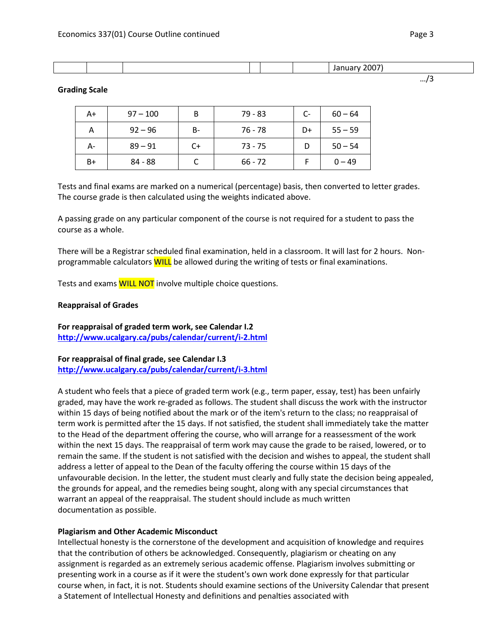#### **Grading Scale**

| A+ | $97 - 100$ | B  | 79 - 83   | C- | $60 - 64$ |
|----|------------|----|-----------|----|-----------|
| А  | $92 - 96$  | B- | 76 - 78   | D+ | $55 - 59$ |
| А- | $89 - 91$  | C+ | $73 - 75$ |    | $50 - 54$ |
| B+ | 84 - 88    |    | $66 - 72$ |    | $0 - 49$  |

Tests and final exams are marked on a numerical (percentage) basis, then converted to letter grades. The course grade is then calculated using the weights indicated above.

A passing grade on any particular component of the course is not required for a student to pass the course as a whole.

There will be a Registrar scheduled final examination, held in a classroom. It will last for 2 hours. Nonprogrammable calculators **WILL** be allowed during the writing of tests or final examinations.

Tests and exams **WILL NOT** involve multiple choice questions.

### **Reappraisal of Grades**

**For reappraisal of graded term work, see Calendar I.2 <http://www.ucalgary.ca/pubs/calendar/current/i-2.html>**

# **For reappraisal of final grade, see Calendar I.3 <http://www.ucalgary.ca/pubs/calendar/current/i-3.html>**

A student who feels that a piece of graded term work (e.g., term paper, essay, test) has been unfairly graded, may have the work re-graded as follows. The student shall discuss the work with the instructor within 15 days of being notified about the mark or of the item's return to the class; no reappraisal of term work is permitted after the 15 days. If not satisfied, the student shall immediately take the matter to the Head of the department offering the course, who will arrange for a reassessment of the work within the next 15 days. The reappraisal of term work may cause the grade to be raised, lowered, or to remain the same. If the student is not satisfied with the decision and wishes to appeal, the student shall address a letter of appeal to the Dean of the faculty offering the course within 15 days of the unfavourable decision. In the letter, the student must clearly and fully state the decision being appealed, the grounds for appeal, and the remedies being sought, along with any special circumstances that warrant an appeal of the reappraisal. The student should include as much written documentation as possible.

#### **Plagiarism and Other Academic Misconduct**

Intellectual honesty is the cornerstone of the development and acquisition of knowledge and requires that the contribution of others be acknowledged. Consequently, plagiarism or cheating on any assignment is regarded as an extremely serious academic offense. Plagiarism involves submitting or presenting work in a course as if it were the student's own work done expressly for that particular course when, in fact, it is not. Students should examine sections of the University Calendar that present a Statement of Intellectual Honesty and definitions and penalties associated with

…/3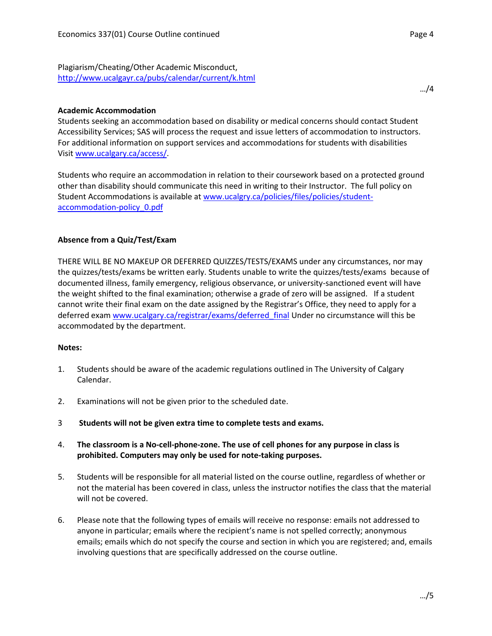Plagiarism/Cheating/Other Academic Misconduct, <http://www.ucalgayr.ca/pubs/calendar/current/k.html>

# **Academic Accommodation**

Students seeking an accommodation based on disability or medical concerns should contact Student Accessibility Services; SAS will process the request and issue letters of accommodation to instructors. For additional information on support services and accommodations for students with disabilities Visit [www.ucalgary.ca/access/.](http://www.ucalgary.ca/access/)

Students who require an accommodation in relation to their coursework based on a protected ground other than disability should communicate this need in writing to their Instructor. The full policy on Student Accommodations is available at [www.ucalgry.ca/policies/files/policies/student](http://www.ucalgry.ca/policies/files/policies/student-accommodation-policy_0.pdf)[accommodation-policy\\_0.pdf](http://www.ucalgry.ca/policies/files/policies/student-accommodation-policy_0.pdf)

# **Absence from a Quiz/Test/Exam**

THERE WILL BE NO MAKEUP OR DEFERRED QUIZZES/TESTS/EXAMS under any circumstances, nor may the quizzes/tests/exams be written early. Students unable to write the quizzes/tests/exams because of documented illness, family emergency, religious observance, or university-sanctioned event will have the weight shifted to the final examination; otherwise a grade of zero will be assigned. If a student cannot write their final exam on the date assigned by the Registrar's Office, they need to apply for a deferred exam [www.ucalgary.ca/registrar/exams/deferred\\_final](http://www.ucalgary.ca/registrar/exams/deferred_final) Under no circumstance will this be accommodated by the department.

#### **Notes:**

- 1. Students should be aware of the academic regulations outlined in The University of Calgary Calendar.
- 2. Examinations will not be given prior to the scheduled date.
- 3 **Students will not be given extra time to complete tests and exams.**
- 4. **The classroom is a No-cell-phone-zone. The use of cell phones for any purpose in class is prohibited. Computers may only be used for note-taking purposes.**
- 5. Students will be responsible for all material listed on the course outline, regardless of whether or not the material has been covered in class, unless the instructor notifies the class that the material will not be covered.
- 6. Please note that the following types of emails will receive no response: emails not addressed to anyone in particular; emails where the recipient's name is not spelled correctly; anonymous emails; emails which do not specify the course and section in which you are registered; and, emails involving questions that are specifically addressed on the course outline.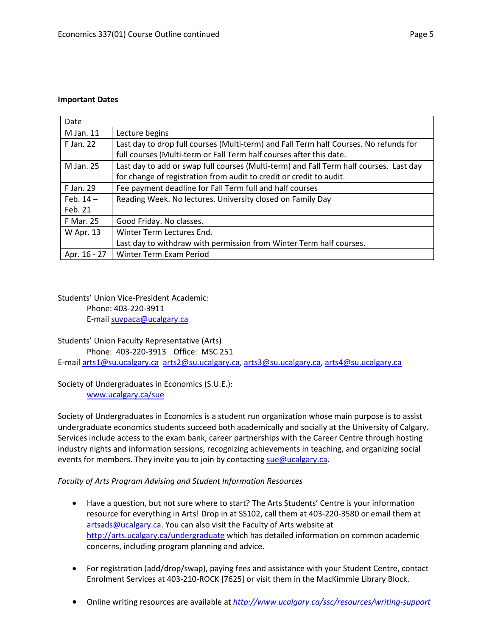#### **Important Dates**

| Date             |                                                                                        |
|------------------|----------------------------------------------------------------------------------------|
| M Jan. 11        | Lecture begins                                                                         |
| F Jan. 22        | Last day to drop full courses (Multi-term) and Fall Term half Courses. No refunds for  |
|                  | full courses (Multi-term or Fall Term half courses after this date.                    |
| M Jan. 25        | Last day to add or swap full courses (Multi-term) and Fall Term half courses. Last day |
|                  | for change of registration from audit to credit or credit to audit.                    |
| F Jan. 29        | Fee payment deadline for Fall Term full and half courses                               |
| Feb. $14-$       | Reading Week. No lectures. University closed on Family Day                             |
| Feb. 21          |                                                                                        |
| <b>F Mar. 25</b> | Good Friday. No classes.                                                               |
| W Apr. 13        | Winter Term Lectures End.                                                              |
|                  | Last day to withdraw with permission from Winter Term half courses.                    |
| Apr. 16 - 27     | Winter Term Exam Period                                                                |

# Students' Union Vice-President Academic: Phone: 403-220-3911 E-mail [suvpaca@ucalgary.ca](mailto:subpaca@ucalgary.ca)

# Students' Union Faculty Representative (Arts)

Phone: 403-220-3913 Office: MSC 251

E-mail [arts1@su.ucalgary.ca](mailto:arts1@su.ucalgary.ca) [arts2@su.ucalgary.ca,](mailto:arts2@su.ucalgary.ca) [arts3@su.ucalgary.ca,](mailto:arts3@su.ucalgary.ca) [arts4@su.ucalgary.ca](mailto:arts4@su.ucalgary.ca)

Society of Undergraduates in Economics (S.U.E.): [www.ucalgary.ca/sue](http://www.fp.ucalgary.ca/econ)

Society of Undergraduates in Economics is a student run organization whose main purpose is to assist undergraduate economics students succeed both academically and socially at the University of Calgary. Services include access to the exam bank, career partnerships with the Career Centre through hosting industry nights and information sessions, recognizing achievements in teaching, and organizing social events for members. They invite you to join by contacting [sue@ucalgary.ca.](mailto:sue@ucalgary.ca)

# *Faculty of Arts Program Advising and Student Information Resources*

- Have a question, but not sure where to start? The Arts Students' Centre is your information resource for everything in Arts! Drop in at SS102, call them at 403-220-3580 or email them at [artsads@ucalgary.ca.](mailto:artsads@ucalgary.ca) You can also visit the Faculty of Arts website at <http://arts.ucalgary.ca/undergraduate> which has detailed information on common academic concerns, including program planning and advice.
- For registration (add/drop/swap), paying fees and assistance with your Student Centre, contact Enrolment Services at 403-210-ROCK [7625] or visit them in the MacKimmie Library Block.
- Online writing resources are available at *<http://www.ucalgary.ca/ssc/resources/writing-support>*